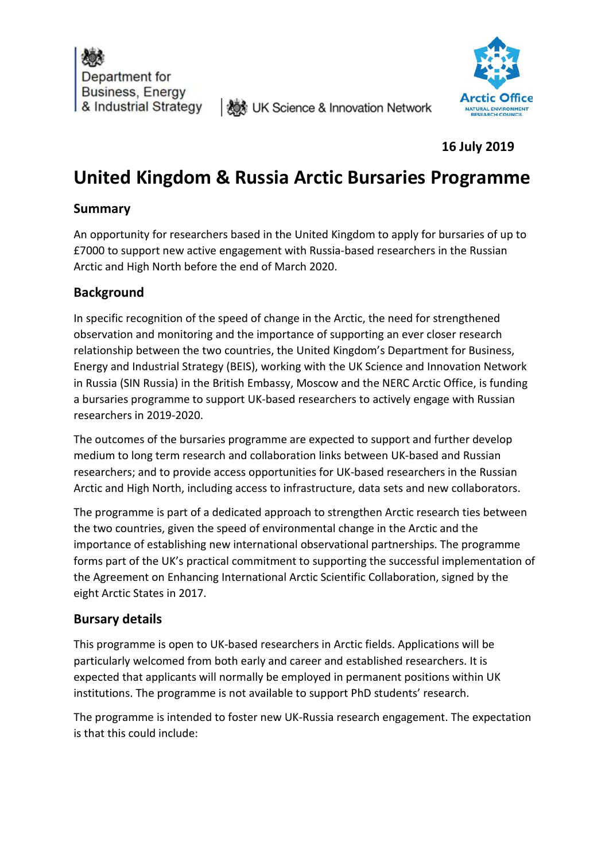



**16 July 2019**

# **United Kingdom & Russia Arctic Bursaries Programme**

**I ‱ UK Science & Innovation Network** 

## **Summary**

An opportunity for researchers based in the United Kingdom to apply for bursaries of up to £7000 to support new active engagement with Russia-based researchers in the Russian Arctic and High North before the end of March 2020.

# **Background**

In specific recognition of the speed of change in the Arctic, the need for strengthened observation and monitoring and the importance of supporting an ever closer research relationship between the two countries, the United Kingdom's Department for Business, Energy and Industrial Strategy (BEIS), working with the UK Science and Innovation Network in Russia (SIN Russia) in the British Embassy, Moscow and the NERC Arctic Office, is funding a bursaries programme to support UK-based researchers to actively engage with Russian researchers in 2019-2020.

The outcomes of the bursaries programme are expected to support and further develop medium to long term research and collaboration links between UK-based and Russian researchers; and to provide access opportunities for UK-based researchers in the Russian Arctic and High North, including access to infrastructure, data sets and new collaborators.

The programme is part of a dedicated approach to strengthen Arctic research ties between the two countries, given the speed of environmental change in the Arctic and the importance of establishing new international observational partnerships. The programme forms part of the UK's practical commitment to supporting the successful implementation of the Agreement on Enhancing International Arctic Scientific Collaboration, signed by the eight Arctic States in 2017.

# **Bursary details**

This programme is open to UK-based researchers in Arctic fields. Applications will be particularly welcomed from both early and career and established researchers. It is expected that applicants will normally be employed in permanent positions within UK institutions. The programme is not available to support PhD students' research.

The programme is intended to foster new UK-Russia research engagement. The expectation is that this could include: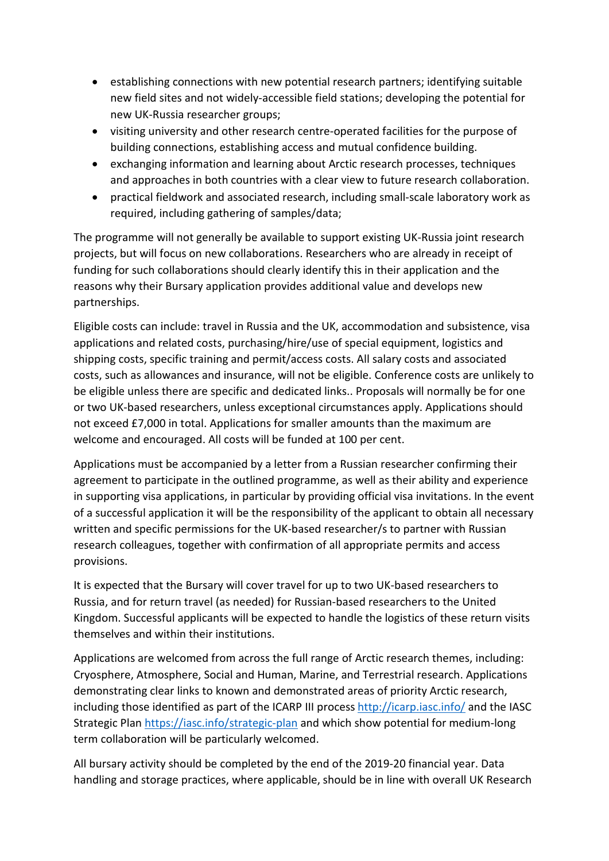- establishing connections with new potential research partners; identifying suitable new field sites and not widely-accessible field stations; developing the potential for new UK-Russia researcher groups;
- visiting university and other research centre-operated facilities for the purpose of building connections, establishing access and mutual confidence building.
- exchanging information and learning about Arctic research processes, techniques and approaches in both countries with a clear view to future research collaboration.
- practical fieldwork and associated research, including small-scale laboratory work as required, including gathering of samples/data;

The programme will not generally be available to support existing UK-Russia joint research projects, but will focus on new collaborations. Researchers who are already in receipt of funding for such collaborations should clearly identify this in their application and the reasons why their Bursary application provides additional value and develops new partnerships.

Eligible costs can include: travel in Russia and the UK, accommodation and subsistence, visa applications and related costs, purchasing/hire/use of special equipment, logistics and shipping costs, specific training and permit/access costs. All salary costs and associated costs, such as allowances and insurance, will not be eligible. Conference costs are unlikely to be eligible unless there are specific and dedicated links.. Proposals will normally be for one or two UK-based researchers, unless exceptional circumstances apply. Applications should not exceed £7,000 in total. Applications for smaller amounts than the maximum are welcome and encouraged. All costs will be funded at 100 per cent.

Applications must be accompanied by a letter from a Russian researcher confirming their agreement to participate in the outlined programme, as well as their ability and experience in supporting visa applications, in particular by providing official visa invitations. In the event of a successful application it will be the responsibility of the applicant to obtain all necessary written and specific permissions for the UK-based researcher/s to partner with Russian research colleagues, together with confirmation of all appropriate permits and access provisions.

It is expected that the Bursary will cover travel for up to two UK-based researchers to Russia, and for return travel (as needed) for Russian-based researchers to the United Kingdom. Successful applicants will be expected to handle the logistics of these return visits themselves and within their institutions.

Applications are welcomed from across the full range of Arctic research themes, including: Cryosphere, Atmosphere, Social and Human, Marine, and Terrestrial research. Applications demonstrating clear links to known and demonstrated areas of priority Arctic research, including those identified as part of the ICARP III process <http://icarp.iasc.info/> and the IASC Strategic Plan<https://iasc.info/strategic-plan> and which show potential for medium-long term collaboration will be particularly welcomed.

All bursary activity should be completed by the end of the 2019-20 financial year. Data handling and storage practices, where applicable, should be in line with overall UK Research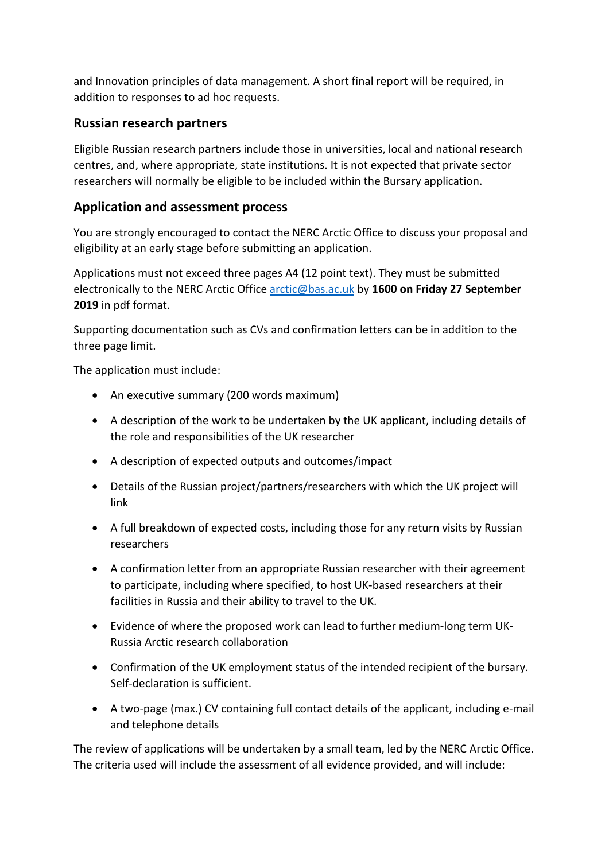and Innovation principles of data management. A short final report will be required, in addition to responses to ad hoc requests.

### **Russian research partners**

Eligible Russian research partners include those in universities, local and national research centres, and, where appropriate, state institutions. It is not expected that private sector researchers will normally be eligible to be included within the Bursary application.

## **Application and assessment process**

You are strongly encouraged to contact the NERC Arctic Office to discuss your proposal and eligibility at an early stage before submitting an application.

Applications must not exceed three pages A4 (12 point text). They must be submitted electronically to the NERC Arctic Offic[e arctic@bas.ac.uk](mailto:arctic@bas.ac.uk) by **1600 on Friday 27 September 2019** in pdf format.

Supporting documentation such as CVs and confirmation letters can be in addition to the three page limit.

The application must include:

- An executive summary (200 words maximum)
- A description of the work to be undertaken by the UK applicant, including details of the role and responsibilities of the UK researcher
- A description of expected outputs and outcomes/impact
- Details of the Russian project/partners/researchers with which the UK project will link
- A full breakdown of expected costs, including those for any return visits by Russian researchers
- A confirmation letter from an appropriate Russian researcher with their agreement to participate, including where specified, to host UK-based researchers at their facilities in Russia and their ability to travel to the UK.
- Evidence of where the proposed work can lead to further medium-long term UK-Russia Arctic research collaboration
- Confirmation of the UK employment status of the intended recipient of the bursary. Self-declaration is sufficient.
- A two-page (max.) CV containing full contact details of the applicant, including e-mail and telephone details

The review of applications will be undertaken by a small team, led by the NERC Arctic Office. The criteria used will include the assessment of all evidence provided, and will include: